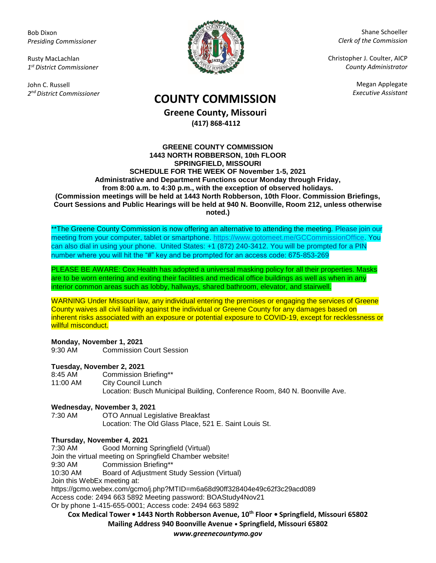Bob Dixon *Presiding Commissioner*

Rusty MacLachlan *1 st District Commissioner*

John C. Russell *2 nd District Commissioner*



Shane Schoeller *Clerk of the Commission*

Christopher J. Coulter, AICP *County Administrator*

Megan Applegate

# *Executive Assistant* **COUNTY COMMISSION**

**Greene County, Missouri (417) 868-4112**

#### **GREENE COUNTY COMMISSION 1443 NORTH ROBBERSON, 10th FLOOR SPRINGFIELD, MISSOURI SCHEDULE FOR THE WEEK OF November 1-5, 2021 Administrative and Department Functions occur Monday through Friday, from 8:00 a.m. to 4:30 p.m., with the exception of observed holidays. (Commission meetings will be held at 1443 North Robberson, 10th Floor. Commission Briefings, Court Sessions and Public Hearings will be held at 940 N. Boonville, Room 212, unless otherwise noted.)**

\*\*The Greene County Commission is now offering an alternative to attending the meeting. Please join our meeting from your computer, tablet or smartphone. [https://www.gotomeet.me/GCCommissionOffice.](https://www.gotomeet.me/GCCommissionOffice) You can also dial in using your phone. United States: +1 (872) 240-3412. You will be prompted for a PIN number where you will hit the "#" key and be prompted for an access code: 675-853-269

PLEASE BE AWARE: Cox Health has adopted a universal masking policy for all their properties. Masks are to be worn entering and exiting their facilities and medical office buildings as well as when in any interior common areas such as lobby, hallways, shared bathroom, elevator, and stairwell.

WARNING Under Missouri law, any individual entering the premises or engaging the services of Greene County waives all civil liability against the individual or Greene County for any damages based on inherent risks associated with an exposure or potential exposure to COVID-19, except for recklessness or willful misconduct.

# **Monday, November 1, 2021**

9:30 AM Commission Court Session

# **Tuesday, November 2, 2021**

8:45 AM Commission Briefing\*\* 11:00 AM City Council Lunch Location: Busch Municipal Building, Conference Room, 840 N. Boonville Ave.

#### **Wednesday, November 3, 2021**

7:30 AM OTO Annual Legislative Breakfast Location: The Old Glass Place, 521 E. Saint Louis St.

# **Thursday, November 4, 2021**

7:30 AM Good Morning Springfield (Virtual)

Join the virtual meeting on Springfield Chamber website!

9:30 AM Commission Briefing\*\*

10:30 AM Board of Adjustment Study Session (Virtual)

Join this WebEx meeting at:

https://gcmo.webex.com/gcmo/j.php?MTID=m6a68d90ff328404e49c62f3c29acd089

Access code: 2494 663 5892 Meeting password: BOAStudy4Nov21

Or by phone 1-415-655-0001; Access code: 2494 663 5892

**Cox Medical Tower • 1443 North Robberson Avenue, 10th Floor • Springfield, Missouri 65802 Mailing Address 940 Boonville Avenue • Springfield, Missouri 65802**

*www.greenecountymo.gov*